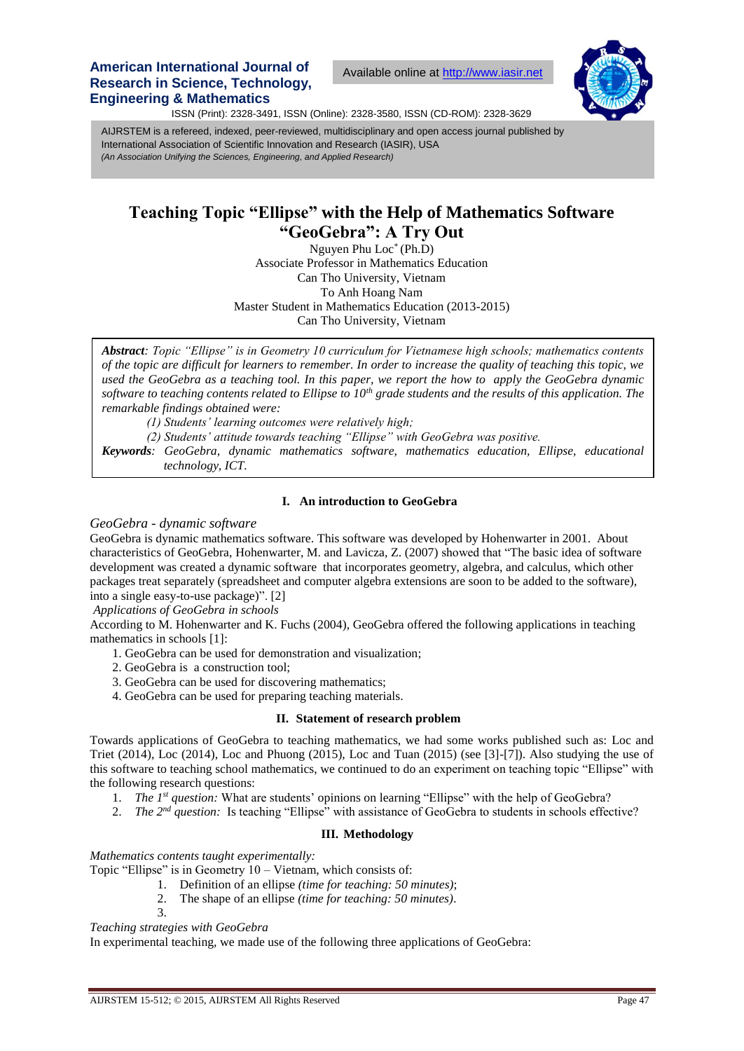# **American International Journal of Research in Science, Technology, Engineering & Mathematics**

Available online at [http://www.iasir.net](http://www.iasir.net/)



ISSN (Print): 2328-3491, ISSN (Online): 2328-3580, ISSN (CD-ROM): 2328-3629

 *(An Association Unifying the Sciences, Engineering, and Applied Research)* AIJRSTEM is a refereed, indexed, peer-reviewed, multidisciplinary and open access journal published by International Association of Scientific Innovation and Research (IASIR), USA

# **Teaching Topic "Ellipse" with the Help of Mathematics Software "GeoGebra": A Try Out**

Nguyen Phu Loc\* (Ph.D) Associate Professor in Mathematics Education Can Tho University, Vietnam To Anh Hoang Nam Master Student in Mathematics Education (2013-2015) Can Tho University, Vietnam

*Abstract: Topic "Ellipse" is in Geometry 10 curriculum for Vietnamese high schools; mathematics contents of the topic are difficult for learners to remember. In order to increase the quality of teaching this topic, we used the GeoGebra as a teaching tool. In this paper, we report the how to apply the GeoGebra dynamic software to teaching contents related to Ellipse to 10th grade students and the results of this application. The remarkable findings obtained were:* 

*(1) Students' learning outcomes were relatively high;*

*(2) Students' attitude towards teaching "Ellipse" with GeoGebra was positive.*

*Keywords: GeoGebra, dynamic mathematics software, mathematics education, Ellipse, educational technology, ICT.*

# **I. An introduction to GeoGebra**

## *GeoGebra - dynamic software*

GeoGebra is dynamic mathematics software. This software was developed by Hohenwarter in 2001. About characteristics of GeoGebra, Hohenwarter, M. and Lavicza, Z. (2007) showed that "The basic idea of software development was created a dynamic software that incorporates geometry, algebra, and calculus, which other packages treat separately (spreadsheet and computer algebra extensions are soon to be added to the software), into a single easy-to-use package)". [2]

*Applications of GeoGebra in schools*

According to M. Hohenwarter and K. Fuchs (2004), GeoGebra offered the following applications in teaching mathematics in schools [1]:

- 1. GeoGebra can be used for demonstration and visualization;
- 2. GeoGebra is a construction tool;
- 3. GeoGebra can be used for discovering mathematics;
- 4. GeoGebra can be used for preparing teaching materials.

# **II. Statement of research problem**

Towards applications of GeoGebra to teaching mathematics, we had some works published such as: Loc and Triet (2014), Loc (2014), Loc and Phuong (2015), Loc and Tuan (2015) (see [3]-[7]). Also studying the use of this software to teaching school mathematics, we continued to do an experiment on teaching topic "Ellipse" with the following research questions:

- 1. *The 1<sup>st</sup> question:* What are students' opinions on learning "Ellipse" with the help of GeoGebra?
- 2. *The* 2<sup>nd</sup> question: Is teaching "Ellipse" with assistance of GeoGebra to students in schools effective?

# **III. Methodology**

*Mathematics contents taught experimentally:* 

- Topic "Ellipse" is in Geometry 10 Vietnam, which consists of:
	- 1. Definition of an ellipse *(time for teaching: 50 minutes)*;
	- 2. The shape of an ellipse *(time for teaching: 50 minutes)*.
	- 3.

*Teaching strategies with GeoGebra*

In experimental teaching, we made use of the following three applications of GeoGebra: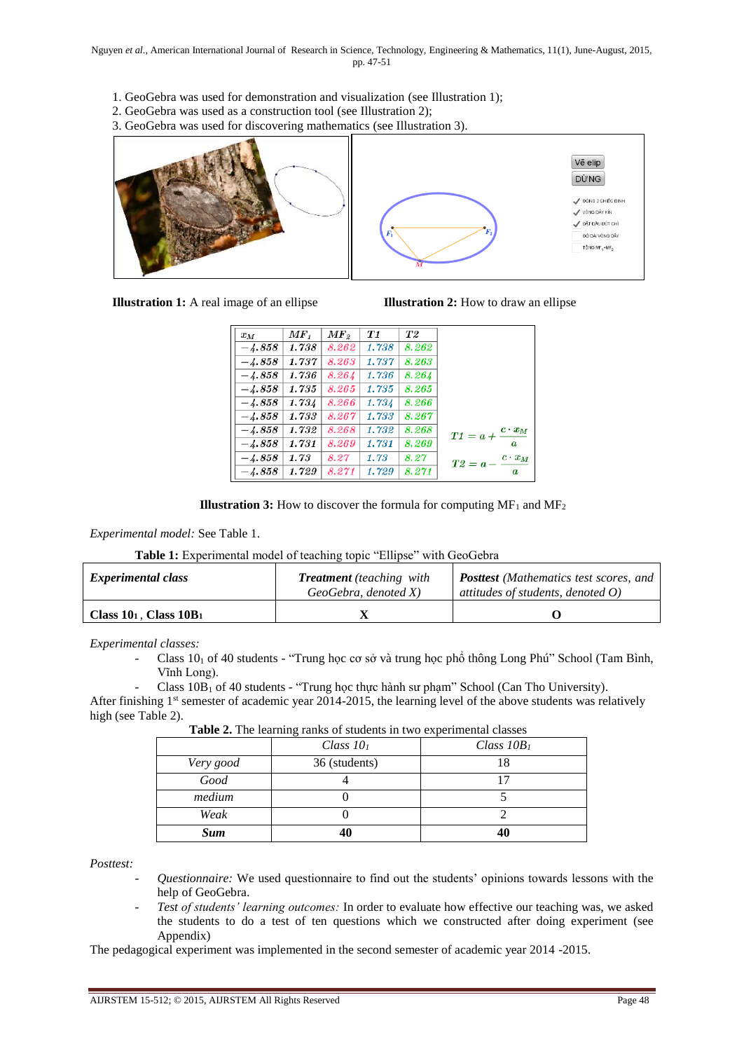- 1. GeoGebra was used for demonstration and visualization (see Illustration 1);
- 2. GeoGebra was used as a construction tool (see Illustration 2);

3. GeoGebra was used for discovering mathematics (see Illustration 3).



| <b>Illustration 1:</b> A real image of an ellipse |  |  |  |  |
|---------------------------------------------------|--|--|--|--|

**Illustration 2:** How to draw an ellipse

| $x_M$    | MF <sub>t</sub> | $\boldsymbol{MF}_{2}$ | T1    | T2    |                             |
|----------|-----------------|-----------------------|-------|-------|-----------------------------|
| $-4.858$ | 1.738           | 8.262                 | 1.738 | 8.262 |                             |
| $-4.858$ | 1.737           | 8.263                 | 1.737 | 8.263 |                             |
| $-4.858$ | 1.736           | 8.264                 | 1.736 | 8.264 |                             |
| $-4.858$ | 1.735           | 8.265                 | 1.735 | 8.265 |                             |
| $-4.858$ | 1.734           | 8.266                 | 1.734 | 8.266 |                             |
| $-4.858$ | 1.733           | 8.267                 | 1.733 | 8.267 |                             |
| $-4.858$ | 1.732           | 8.268                 | 1.732 | 8.268 | $c \cdot x_M$<br>$T1 = a +$ |
| $-4.858$ | 1.731           | 8.269                 | 1.731 | 8.269 | $\boldsymbol{a}$            |
| $-4.858$ | 1.73            | 8.27                  | 1.73  | 8.27  | $c\cdot x_M$<br>$T2 = a -$  |
| $-4.858$ | 1.729           | 8.271                 | 1.729 | 8.271 | a                           |



*Experimental model:* See Table 1.

| Table 1: Experimental model of teaching topic "Ellipse" with GeoGebra |  |  |  |
|-----------------------------------------------------------------------|--|--|--|
|-----------------------------------------------------------------------|--|--|--|

| <b>Experimental class</b>    | <b>Treatment</b> (teaching with<br>GeoGebra, denoted X | <b>Posttest</b> (Mathematics test scores, and<br>attitudes of students, denoted $O$ ) |  |  |
|------------------------------|--------------------------------------------------------|---------------------------------------------------------------------------------------|--|--|
| Class $10_1$ , Class $10B_1$ |                                                        |                                                                                       |  |  |

*Experimental classes:*

Class  $10<sub>1</sub>$  of 40 students - "Trung học cơ sở và trung học phổ thông Long Phú" School (Tam Bình, Vĩnh Long).

Class 10B<sub>1</sub> of 40 students - "Trung học thực hành sư phạm" School (Can Tho University). After finishing 1<sup>st</sup> semester of academic year 2014-2015, the learning level of the above students was relatively high (see Table 2).

| where we really rainly or statements in this enperimental viables |               |               |  |  |
|-------------------------------------------------------------------|---------------|---------------|--|--|
|                                                                   | Class $101$   | Class $10B_1$ |  |  |
| Very good                                                         | 36 (students) |               |  |  |
| Good                                                              |               |               |  |  |
| medium                                                            |               |               |  |  |
| Weak                                                              |               |               |  |  |
| <b>Sum</b>                                                        | 40            | 40            |  |  |

**Table 2.** The learning ranks of students in two experimental classes

*Posttest:* 

- *Questionnaire:* We used questionnaire to find out the students' opinions towards lessons with the help of GeoGebra.
- *Test of students' learning outcomes:* In order to evaluate how effective our teaching was, we asked the students to do a test of ten questions which we constructed after doing experiment (see Appendix)

The pedagogical experiment was implemented in the second semester of academic year 2014 -2015.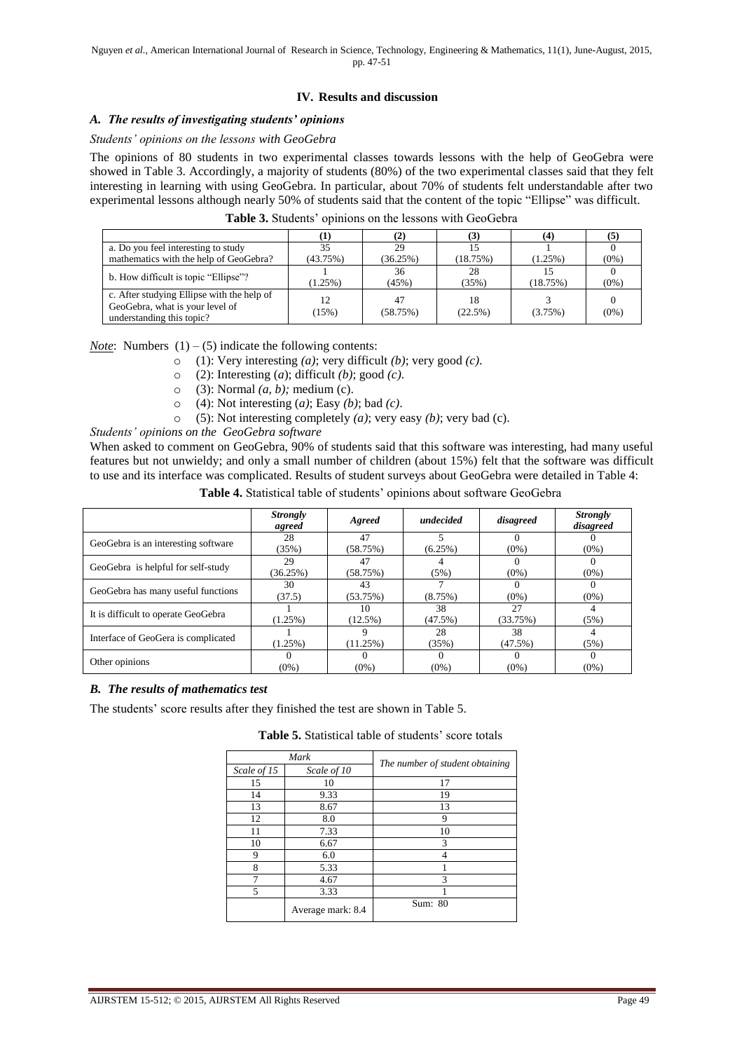# **IV. Results and discussion**

## *A. The results of investigating students' opinions*

#### *Students' opinions on the lessons with GeoGebra*

The opinions of 80 students in two experimental classes towards lessons with the help of GeoGebra were showed in Table 3. Accordingly, a majority of students (80%) of the two experimental classes said that they felt interesting in learning with using GeoGebra. In particular, about 70% of students felt understandable after two experimental lessons although nearly 50% of students said that the content of the topic "Ellipse" was difficult.

|                                                                                                            |               | [2]            |               | (4)        |         |
|------------------------------------------------------------------------------------------------------------|---------------|----------------|---------------|------------|---------|
| a. Do you feel interesting to study                                                                        | 35            | 29             |               |            |         |
| mathematics with the help of GeoGebra?                                                                     | (43.75%)      | (36.25%)       | (18.75%)      | $(1.25\%)$ | $(0\%)$ |
| b. How difficult is topic "Ellipse"?                                                                       | $(1.25\%)$    | 36<br>(45%)    | 28<br>(35%)   | (18.75%)   | $(0\%)$ |
| c. After studying Ellipse with the help of<br>GeoGebra, what is your level of<br>understanding this topic? | 12<br>$15\%)$ | 47<br>(58.75%) | 18<br>(22.5%) | (3.75%)    | $(0\%)$ |

**Table 3.** Students' opinions on the lessons with GeoGebra

*Note*: Numbers  $(1) - (5)$  indicate the following contents:

- o (1): Very interesting *(a)*; very difficult *(b)*; very good *(c)*.
- o (2): Interesting (*a*); difficult *(b)*; good *(c)*.
- o (3): Normal *(a, b);* medium (c).
- o (4): Not interesting (*a)*; Easy *(b)*; bad *(c)*.
- o (5): Not interesting completely *(a)*; very easy *(b)*; very bad (c).

*Students' opinions on the GeoGebra software*

When asked to comment on GeoGebra, 90% of students said that this software was interesting, had many useful features but not unwieldy; and only a small number of children (about 15%) felt that the software was difficult to use and its interface was complicated. Results of student surveys about GeoGebra were detailed in Table 4:

|                                     | <b>Strongly</b><br>agreed | Agreed     | undecided  | disagreed | <b>Strongly</b><br>disagreed |
|-------------------------------------|---------------------------|------------|------------|-----------|------------------------------|
| GeoGebra is an interesting software | 28                        | 47         |            |           |                              |
|                                     | (35%)                     | (58.75%)   | $(6.25\%)$ | $(0\%)$   | $(0\%)$                      |
|                                     | 29                        | 47         |            |           |                              |
| GeoGebra is helpful for self-study  | (36.25%)                  | (58.75%)   | (5%)       | $(0\%)$   | $(0\%)$                      |
| GeoGebra has many useful functions  | 30                        | 43         |            |           |                              |
|                                     | (37.5)                    | (53.75%)   | (8.75%)    | $(0\%)$   | $(0\%)$                      |
| It is difficult to operate GeoGebra |                           | 10         | 38         | 27        |                              |
|                                     | $(1.25\%)$                | $(12.5\%)$ | (47.5%)    | (33.75%)  | (5%)                         |
| Interface of GeoGera is complicated |                           |            | 28         | 38        |                              |
|                                     | (1.25%)                   | (11.25%)   | (35%)      | (47.5%)   | (5%)                         |
|                                     |                           |            |            |           |                              |
| Other opinions                      | $(0\%)$                   | $(0\%)$    | $(0\%)$    | $(0\%)$   | $(0\%)$                      |

**Table 4.** Statistical table of students' opinions about software GeoGebra

# *B. The results of mathematics test*

The students' score results after they finished the test are shown in Table 5.

**Table 5.** Statistical table of students' score totals

| Mark        |                   |                                 |  |
|-------------|-------------------|---------------------------------|--|
| Scale of 15 | Scale of 10       | The number of student obtaining |  |
| 15          | 10                | 17                              |  |
| 14          | 9.33              | 19                              |  |
| 13          | 8.67              | 13                              |  |
| 12          | 8.0               | 9                               |  |
| 11          | 7.33              | 10                              |  |
| 10          | 6.67              | 3                               |  |
| 9           | 6.0               |                                 |  |
| 8           | 5.33              |                                 |  |
| 7           | 4.67              | 3                               |  |
| 5           | 3.33              |                                 |  |
|             | Average mark: 8.4 | Sum: 80                         |  |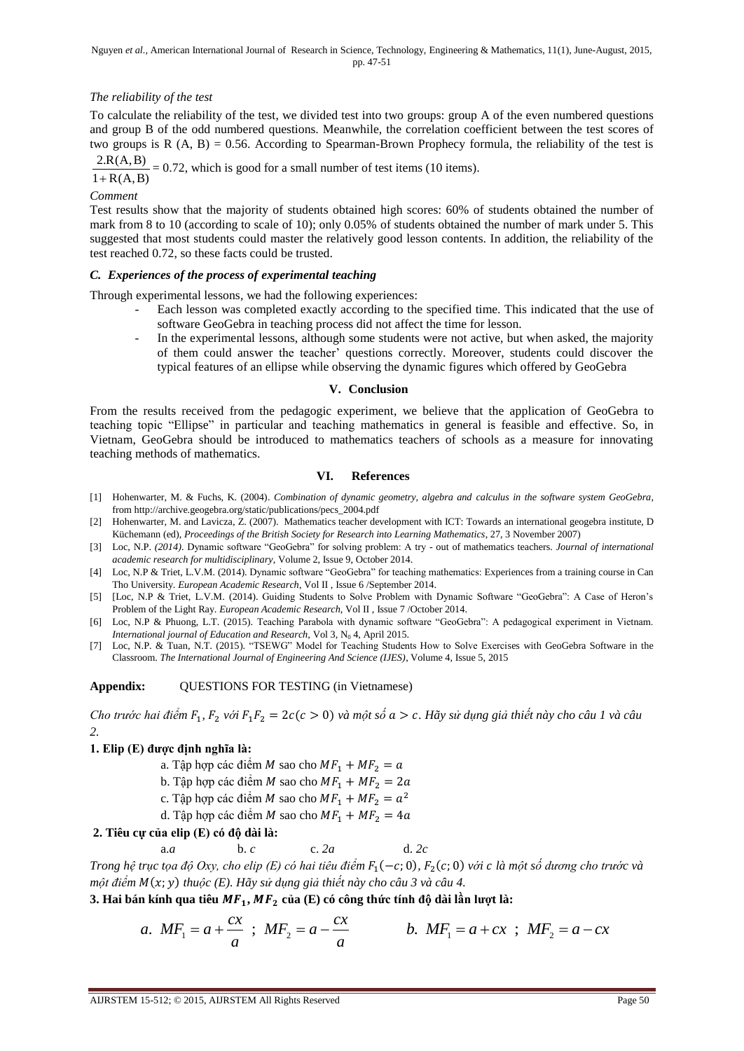# *The reliability of the test*

To calculate the reliability of the test, we divided test into two groups: group A of the even numbered questions and group B of the odd numbered questions. Meanwhile, the correlation coefficient between the test scores of two groups is  $R(A, B) = 0.56$ . According to Spearman-Brown Prophecy formula, the reliability of the test is

 $1 + R(A, B)$  $\frac{2 \cdot R(A, B)}{R(A, B)} = 0.72$ , which is good for a small number of test items (10 items).

*Comment*

Test results show that the majority of students obtained high scores: 60% of students obtained the number of mark from 8 to 10 (according to scale of 10); only 0.05% of students obtained the number of mark under 5. This suggested that most students could master the relatively good lesson contents. In addition, the reliability of the test reached 0.72, so these facts could be trusted.

# *C. Experiences of the process of experimental teaching*

Through experimental lessons, we had the following experiences:

- Each lesson was completed exactly according to the specified time. This indicated that the use of software GeoGebra in teaching process did not affect the time for lesson.
- In the experimental lessons, although some students were not active, but when asked, the majority of them could answer the teacher' questions correctly. Moreover, students could discover the typical features of an ellipse while observing the dynamic figures which offered by GeoGebra

#### **V. Conclusion**

From the results received from the pedagogic experiment, we believe that the application of GeoGebra to teaching topic "Ellipse" in particular and teaching mathematics in general is feasible and effective. So, in Vietnam, GeoGebra should be introduced to mathematics teachers of schools as a measure for innovating teaching methods of mathematics.

## **VI. References**

- [1] Hohenwarter, M. & Fuchs, K. (2004). *Combination of dynamic geometry, algebra and calculus in the software system GeoGebra,* fro[m http://archive.geogebra.org/static/publications/pecs\\_2004.pdf](http://archive.geogebra.org/static/publications/pecs_2004.pdf)
- [2] Hohenwarter, M. and Lavicza, Z. (2007). Mathematics teacher development with ICT: Towards an international geogebra institute, D Küchemann (ed), *Proceedings of the British Society for Research into Learning Mathematics*, 27, 3 November 2007)
- [3] Loc, N.P. *(2014)*. Dynamic software "GeoGebra" for solving problem: A try out of mathematics teachers. *Journal of international academic research for multidisciplinary*, Volume 2, Issue 9, October 2014.
- [4] Loc, N.P & Triet, L.V.M. (2014). Dynamic software "GeoGebra" for teaching mathematics: Experiences from a training course in Can Tho University. *European Academic Research*, Vol II , Issue 6 /September 2014.
- [5] [Loc, N.P & Triet, L.V.M. (2014). Guiding Students to Solve Problem with Dynamic Software "GeoGebra": A Case of Heron's Problem of the Light Ray. *European Academic Research*, Vol II , Issue 7 /October 2014.
- [6] Loc, N.P & Phuong, L.T. (2015). Teaching Parabola with dynamic software "GeoGebra": A pedagogical experiment in Vietnam. *International journal of Education and Research, Vol 3, N<sub>0</sub> 4, April 2015.*
- [7] Loc, N.P. & Tuan, N.T. (2015). "TSEWG" Model for Teaching Students How to Solve Exercises with GeoGebra Software in the Classroom. *The International Journal of Engineering And Science (IJES)*, Volume 4, Issue 5, 2015

# **Appendix:** QUESTIONS FOR TESTING (in Vietnamese)

*Cho trước hai điểm F*<sub>1</sub>, *F*<sub>2</sub> *với F*<sub>1</sub>*F*<sub>2</sub> = 2 $c(c > 0)$  *và một số*  $a > c$ . Hãy sử dụng giả thiết này cho câu 1 và câu *2.*

# **1. Elip (E) được định nghĩa là:**

- a. Tập hợp các điểm M sao cho  $MF_1 + MF_2 = a$
- b. Tập hợp các điểm M sao cho  $MF_1 + MF_2 = 2a$
- c. Tập hợp các điểm M sao cho  $MF_1 + MF_2 = a^2$
- d. Tập hợp các điểm M sao cho  $MF_1 + MF_2 = 4a$

# **2. Tiêu cự của elip (E) có độ dài là:**

a.*a* b. *c* c. *2a* d. *2c*

*Trong hệ trục tọa độ Oxy, cho elip (E) có hai tiêu điểm F*<sub>1</sub>(−c; 0), F<sub>2</sub>(c; 0) với c là một số dương cho trước và *một điểm M*(x; y) *thuộc (E). Hãy sử dụng giả thiết này cho câu 3 và câu 4.* 

3. Hai bán kính qua tiêu 
$$
MF_1
$$
,  $MF_2$  của (E) có công thức tính độ dài lần lượt là:  
\n $a. MF_1 = a + \frac{cx}{a}$ ;  $MF_2 = a - \frac{cx}{a}$   
\n $b. MF_1 = a + cx$ ;  $MF_2 = a - cx$